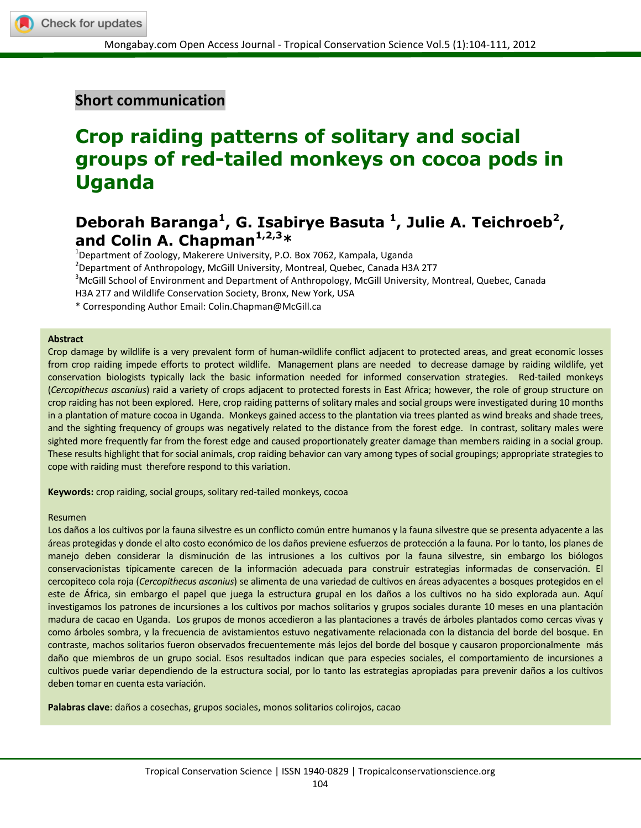## **Short communication**

# **Crop raiding patterns of solitary and social groups of red-tailed monkeys on cocoa pods in Uganda**

## Deborah Baranga<sup>1</sup>, G. Isabirye Basuta <sup>1</sup>, Julie A. Teichroeb<sup>2</sup>, **and Colin A. Chapman1,2,3\***

<sup>1</sup>Department of Zoology, Makerere University, P.O. Box 7062, Kampala, Uganda

2 Department of Anthropology, McGill University, Montreal, Quebec, Canada H3A 2T7

<sup>3</sup>McGill School of Environment and Department of Anthropology, McGill University, Montreal, Quebec, Canada

H3A 2T7 and Wildlife Conservation Society, Bronx, New York, USA

\* Corresponding Author Email: Colin.Chapman@McGill.ca

#### **Abstract**

Crop damage by wildlife is a very prevalent form of human-wildlife conflict adjacent to protected areas, and great economic losses from crop raiding impede efforts to protect wildlife. Management plans are needed to decrease damage by raiding wildlife, yet conservation biologists typically lack the basic information needed for informed conservation strategies. Red-tailed monkeys (*Cercopithecus ascanius*) raid a variety of crops adjacent to protected forests in East Africa; however, the role of group structure on crop raiding has not been explored. Here, crop raiding patterns of solitary males and social groups were investigated during 10 months in a plantation of mature cocoa in Uganda. Monkeys gained access to the plantation via trees planted as wind breaks and shade trees, and the sighting frequency of groups was negatively related to the distance from the forest edge. In contrast, solitary males were sighted more frequently far from the forest edge and caused proportionately greater damage than members raiding in a social group. These results highlight that for social animals, crop raiding behavior can vary among types of social groupings; appropriate strategies to cope with raiding must therefore respond to this variation.

**Keywords:** crop raiding, social groups, solitary red-tailed monkeys, cocoa

#### Resumen

Los daños a los cultivos por la fauna silvestre es un conflicto común entre humanos y la fauna silvestre que se presenta adyacente a las áreas protegidas y donde el alto costo económico de los daños previene esfuerzos de protección a la fauna. Por lo tanto, los planes de manejo deben considerar la disminución de las intrusiones a los cultivos por la fauna silvestre, sin embargo los biólogos conservacionistas típicamente carecen de la información adecuada para construir estrategias informadas de conservación. El cercopiteco cola roja (*Cercopithecus ascanius*) se alimenta de una variedad de cultivos en áreas adyacentes a bosques protegidos en el este de África, sin embargo el papel que juega la estructura grupal en los daños a los cultivos no ha sido explorada aun. Aquí investigamos los patrones de incursiones a los cultivos por machos solitarios y grupos sociales durante 10 meses en una plantación madura de cacao en Uganda. Los grupos de monos accedieron a las plantaciones a través de árboles plantados como cercas vivas y como árboles sombra, y la frecuencia de avistamientos estuvo negativamente relacionada con la distancia del borde del bosque. En contraste, machos solitarios fueron observados frecuentemente más lejos del borde del bosque y causaron proporcionalmente más daño que miembros de un grupo social. Esos resultados indican que para especies sociales, el comportamiento de incursiones a cultivos puede variar dependiendo de la estructura social, por lo tanto las estrategias apropiadas para prevenir daños a los cultivos deben tomar en cuenta esta variación.

**Palabras clave**: daños a cosechas, grupos sociales, monos solitarios colirojos, cacao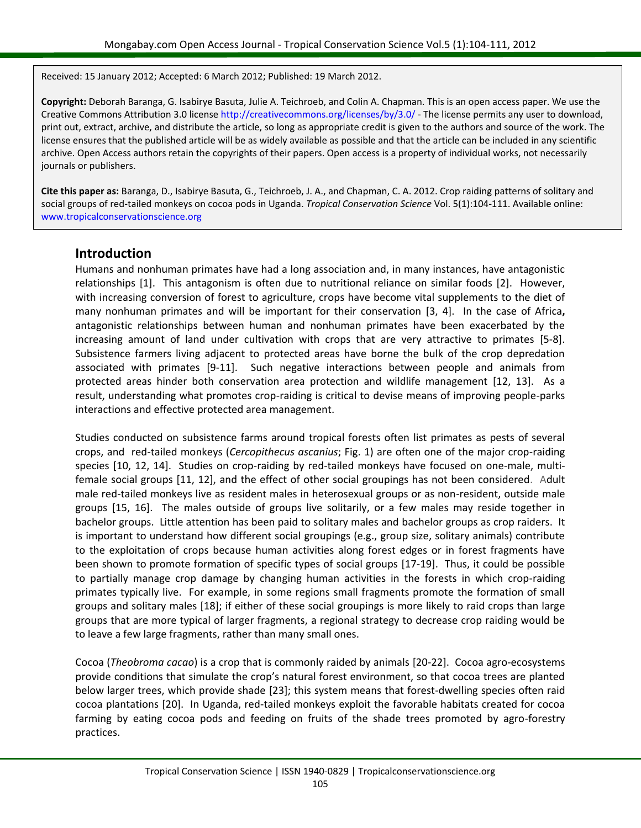Received: 15 January 2012; Accepted: 6 March 2012; Published: 19 March 2012.

**Copyright:** Deborah Baranga, G. Isabirye Basuta, Julie A. Teichroeb, and Colin A. Chapman. This is an open access paper. We use the Creative Commons Attribution 3.0 license http://creativecommons.org/licenses/by/3.0/ - The license permits any user to download, print out, extract, archive, and distribute the article, so long as appropriate credit is given to the authors and source of the work. The license ensures that the published article will be as widely available as possible and that the article can be included in any scientific archive. Open Access authors retain the copyrights of their papers. Open access is a property of individual works, not necessarily journals or publishers.

**Cite this paper as:** Baranga, D., Isabirye Basuta, G., Teichroeb, J. A., and Chapman, C. A. 2012. Crop raiding patterns of solitary and social groups of red-tailed monkeys on cocoa pods in Uganda. *Tropical Conservation Science* Vol. 5(1):104-111. Available online: www.tropicalconservationscience.org

#### **Introduction**

Humans and nonhuman primates have had a long association and, in many instances, have antagonistic relationships [\[1\]](#page-6-0). This antagonism is often due to nutritional reliance on similar foods [\[2\]](#page-6-1). However, with increasing conversion of forest to agriculture, crops have become vital supplements to the diet of many nonhuman primates and will be important for their conservation [\[3,](#page-6-2) [4\]](#page-6-3). In the case of Africa**,** antagonistic relationships between human and nonhuman primates have been exacerbated by the increasing amount of land under cultivation with crops that are very attractive to primates [\[5-8\]](#page-6-4). Subsistence farmers living adjacent to protected areas have borne the bulk of the crop depredation associated with primates [\[9-11\]](#page-6-5). Such negative interactions between people and animals from protected areas hinder both conservation area protection and wildlife management [\[12,](#page-6-6) [13\]](#page-6-7). As a result, understanding what promotes crop-raiding is critical to devise means of improving people-parks interactions and effective protected area management.

Studies conducted on subsistence farms around tropical forests often list primates as pests of several crops, and red-tailed monkeys (*Cercopithecus ascanius*; Fig. 1) are often one of the major crop-raiding species [\[10,](#page-6-8) [12,](#page-6-6) [14\]](#page-6-9). Studies on crop-raiding by red-tailed monkeys have focused on one-male, multifemale social groups [\[11,](#page-6-10) [12\]](#page-6-6), and the effect of other social groupings has not been considered. Adult male red-tailed monkeys live as resident males in heterosexual groups or as non-resident, outside male groups [\[15,](#page-6-11) [16\]](#page-6-12). The males outside of groups live solitarily, or a few males may reside together in bachelor groups. Little attention has been paid to solitary males and bachelor groups as crop raiders. It is important to understand how different social groupings (e.g., group size, solitary animals) contribute to the exploitation of crops because human activities along forest edges or in forest fragments have been shown to promote formation of specific types of social groups [\[17-19\]](#page-6-13). Thus, it could be possible to partially manage crop damage by changing human activities in the forests in which crop-raiding primates typically live. For example, in some regions small fragments promote the formation of small groups and solitary males [18]; if either of these social groupings is more likely to raid crops than large groups that are more typical of larger fragments, a regional strategy to decrease crop raiding would be to leave a few large fragments, rather than many small ones.

Cocoa (*Theobroma cacao*) is a crop that is commonly raided by animals [\[20-22\]](#page-6-14). Cocoa agro-ecosystems provide conditions that simulate the crop's natural forest environment, so that cocoa trees are planted below larger trees, which provide shade [\[23\]](#page-7-0); this system means that forest-dwelling species often raid cocoa plantations [\[20\]](#page-6-14). In Uganda, red-tailed monkeys exploit the favorable habitats created for cocoa farming by eating cocoa pods and feeding on fruits of the shade trees promoted by agro-forestry practices.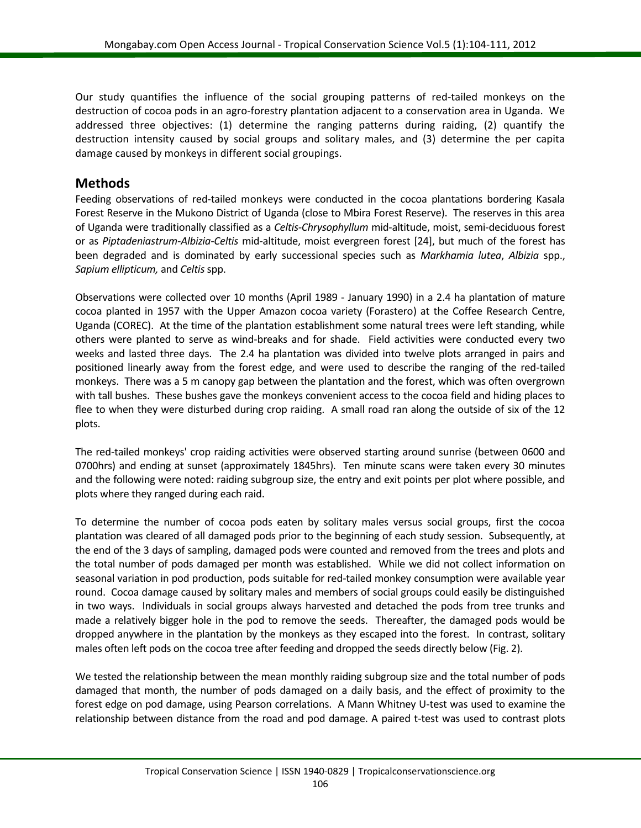Our study quantifies the influence of the social grouping patterns of red-tailed monkeys on the destruction of cocoa pods in an agro-forestry plantation adjacent to a conservation area in Uganda. We addressed three objectives: (1) determine the ranging patterns during raiding, (2) quantify the destruction intensity caused by social groups and solitary males, and (3) determine the per capita damage caused by monkeys in different social groupings.

#### **Methods**

Feeding observations of red-tailed monkeys were conducted in the cocoa plantations bordering Kasala Forest Reserve in the Mukono District of Uganda (close to Mbira Forest Reserve). The reserves in this area of Uganda were traditionally classified as a *Celtis-Chrysophyllum* mid-altitude, moist, semi-deciduous forest or as *Piptadeniastrum-Albizia-Celtis* mid-altitude, moist evergreen forest [\[24\]](#page-7-1), but much of the forest has been degraded and is dominated by early successional species such as *Markhamia lutea*, *Albizia* spp., *Sapium ellipticum,* and *Celtis*spp.

Observations were collected over 10 months (April 1989 - January 1990) in a 2.4 ha plantation of mature cocoa planted in 1957 with the Upper Amazon cocoa variety (Forastero) at the Coffee Research Centre, Uganda (COREC). At the time of the plantation establishment some natural trees were left standing, while others were planted to serve as wind-breaks and for shade. Field activities were conducted every two weeks and lasted three days. The 2.4 ha plantation was divided into twelve plots arranged in pairs and positioned linearly away from the forest edge, and were used to describe the ranging of the red-tailed monkeys. There was a 5 m canopy gap between the plantation and the forest, which was often overgrown with tall bushes. These bushes gave the monkeys convenient access to the cocoa field and hiding places to flee to when they were disturbed during crop raiding. A small road ran along the outside of six of the 12 plots.

The red-tailed monkeys' crop raiding activities were observed starting around sunrise (between 0600 and 0700hrs) and ending at sunset (approximately 1845hrs). Ten minute scans were taken every 30 minutes and the following were noted: raiding subgroup size, the entry and exit points per plot where possible, and plots where they ranged during each raid.

To determine the number of cocoa pods eaten by solitary males versus social groups, first the cocoa plantation was cleared of all damaged pods prior to the beginning of each study session. Subsequently, at the end of the 3 days of sampling, damaged pods were counted and removed from the trees and plots and the total number of pods damaged per month was established. While we did not collect information on seasonal variation in pod production, pods suitable for red-tailed monkey consumption were available year round. Cocoa damage caused by solitary males and members of social groups could easily be distinguished in two ways. Individuals in social groups always harvested and detached the pods from tree trunks and made a relatively bigger hole in the pod to remove the seeds. Thereafter, the damaged pods would be dropped anywhere in the plantation by the monkeys as they escaped into the forest. In contrast, solitary males often left pods on the cocoa tree after feeding and dropped the seeds directly below (Fig. 2).

We tested the relationship between the mean monthly raiding subgroup size and the total number of pods damaged that month, the number of pods damaged on a daily basis, and the effect of proximity to the forest edge on pod damage, using Pearson correlations. A Mann Whitney U-test was used to examine the relationship between distance from the road and pod damage. A paired t-test was used to contrast plots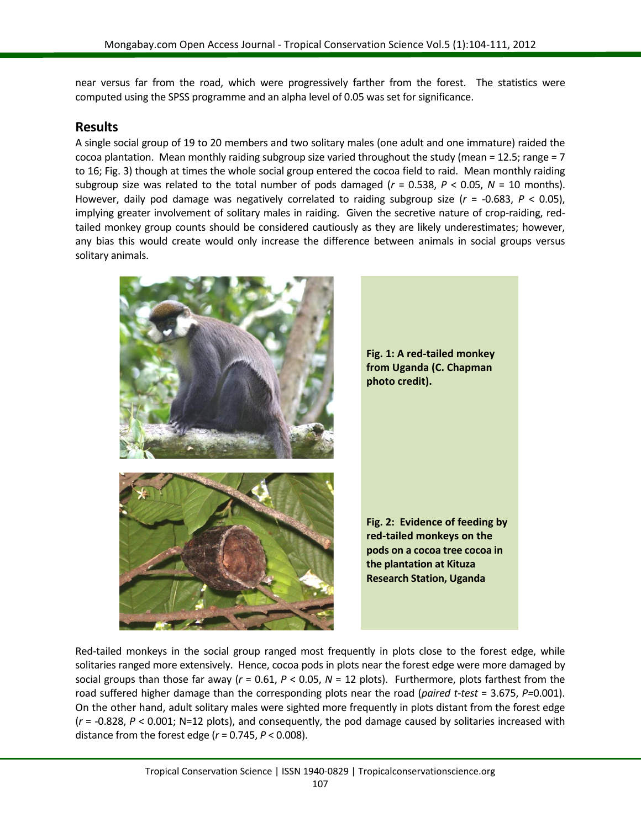near versus far from the road, which were progressively farther from the forest. The statistics were computed using the SPSS programme and an alpha level of 0.05 was set for significance.

#### **Results**

A single social group of 19 to 20 members and two solitary males (one adult and one immature) raided the cocoa plantation. Mean monthly raiding subgroup size varied throughout the study (mean = 12.5; range =  $7$ ) to 16; Fig. 3) though at times the whole social group entered the cocoa field to raid. Mean monthly raiding subgroup size was related to the total number of pods damaged  $(r = 0.538, P < 0.05, N = 10$  months). However, daily pod damage was negatively correlated to raiding subgroup size (*r* = -0.683, *P* < 0.05), implying greater involvement of solitary males in raiding. Given the secretive nature of crop-raiding, redtailed monkey group counts should be considered cautiously as they are likely underestimates; however, any bias this would create would only increase the difference between animals in social groups versus solitary animals.



Red-tailed monkeys in the social group ranged most frequently in plots close to the forest edge, while solitaries ranged more extensively. Hence, cocoa pods in plots near the forest edge were more damaged by social groups than those far away (*r* = 0.61, *P* < 0.05, *N* = 12 plots). Furthermore, plots farthest from the road suffered higher damage than the corresponding plots near the road (*paired t-test* = 3.675, *P=*0.001). On the other hand, adult solitary males were sighted more frequently in plots distant from the forest edge (*r* = -0.828, *P* < 0.001; N=12 plots), and consequently, the pod damage caused by solitaries increased with distance from the forest edge (*r* = 0.745, *P* < 0.008).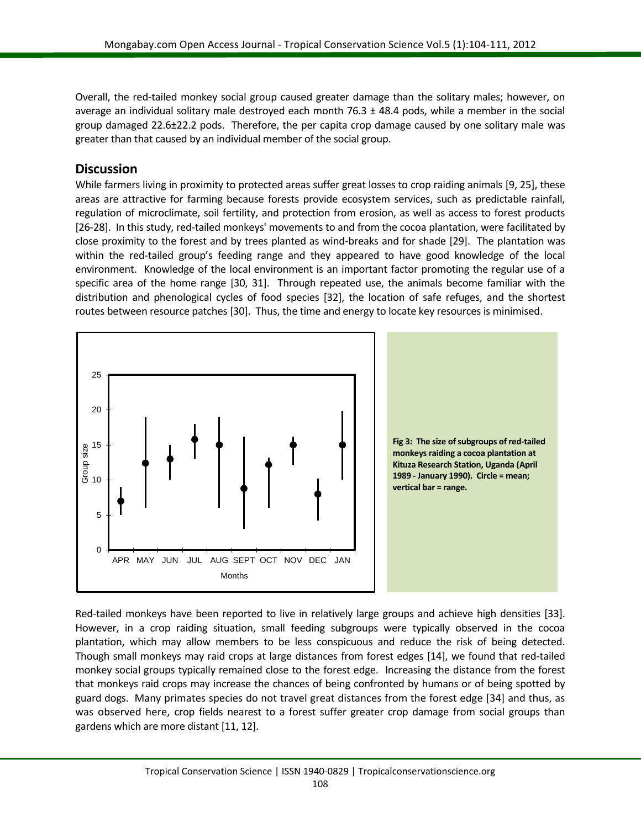Overall, the red-tailed monkey social group caused greater damage than the solitary males; however, on average an individual solitary male destroyed each month  $76.3 \pm 48.4$  pods, while a member in the social group damaged 22.6±22.2 pods. Therefore, the per capita crop damage caused by one solitary male was greater than that caused by an individual member of the social group.

#### **Discussion**

While farmers living in proximity to protected areas suffer great losses to crop raiding animals [\[9,](#page-6-5) [25\]](#page-7-2), these areas are attractive for farming because forests provide ecosystem services, such as predictable rainfall, regulation of microclimate, soil fertility, and protection from erosion, as well as access to forest products [\[26-28\]](#page-7-3). In this study, red-tailed monkeys' movements to and from the cocoa plantation, were facilitated by close proximity to the forest and by trees planted as wind-breaks and for shade [\[29\]](#page-7-4). The plantation was within the red-tailed group's feeding range and they appeared to have good knowledge of the local environment. Knowledge of the local environment is an important factor promoting the regular use of a specific area of the home range [\[30,](#page-7-5) [31\]](#page-7-6). Through repeated use, the animals become familiar with the distribution and phenological cycles of food species [\[32\]](#page-7-7), the location of safe refuges, and the shortest routes between resource patches [\[30\]](#page-7-5). Thus, the time and energy to locate key resources is minimised.



Red-tailed monkeys have been reported to live in relatively large groups and achieve high densities [\[33\]](#page-7-8). However, in a crop raiding situation, small feeding subgroups were typically observed in the cocoa plantation, which may allow members to be less conspicuous and reduce the risk of being detected. Though small monkeys may raid crops at large distances from forest edges [\[14\]](#page-6-9), we found that red-tailed monkey social groups typically remained close to the forest edge. Increasing the distance from the forest that monkeys raid crops may increase the chances of being confronted by humans or of being spotted by guard dogs. Many primates species do not travel great distances from the forest edge [\[34\]](#page-7-9) and thus, as was observed here, crop fields nearest to a forest suffer greater crop damage from social groups than gardens which are more distant [\[11,](#page-6-10) [12\]](#page-6-6).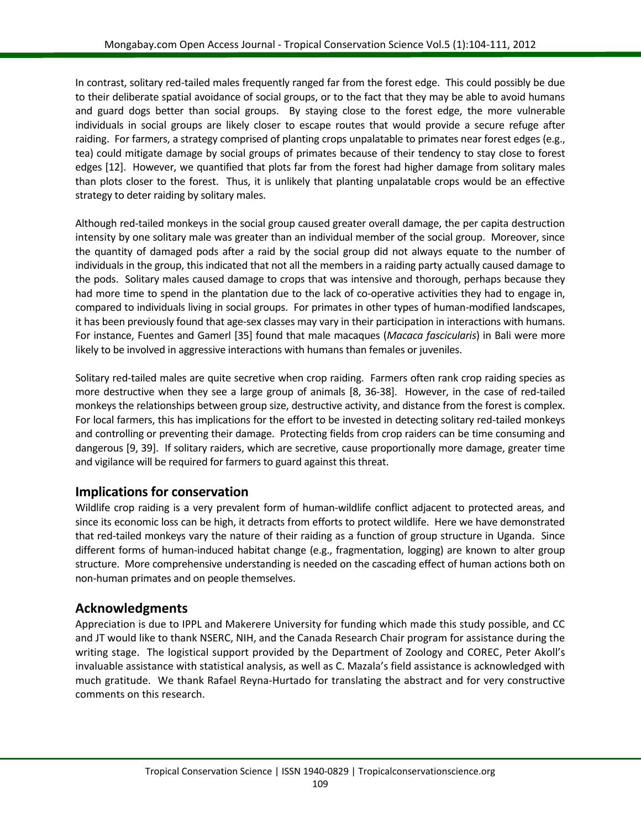In contrast, solitary red-tailed males frequently ranged far from the forest edge. This could possibly be due to their deliberate spatial avoidance of social groups, or to the fact that they may be able to avoid humans and guard dogs better than social groups. By staying close to the forest edge, the more vulnerable individuals in social groups are likely closer to escape routes that would provide a secure refuge after raiding. For farmers, a strategy comprised of planting crops unpalatable to primates near forest edges (e.g., tea) could mitigate damage by social groups of primates because of their tendency to stay close to forest edges [\[12\]](#page-6-6). However, we quantified that plots far from the forest had higher damage from solitary males than plots closer to the forest. Thus, it is unlikely that planting unpalatable crops would be an effective strategy to deter raiding by solitary males.

Although red-tailed monkeys in the social group caused greater overall damage, the per capita destruction intensity by one solitary male was greater than an individual member of the social group. Moreover, since the quantity of damaged pods after a raid by the social group did not always equate to the number of individuals in the group, this indicated that not all the members in a raiding party actually caused damage to the pods. Solitary males caused damage to crops that was intensive and thorough, perhaps because they had more time to spend in the plantation due to the lack of co-operative activities they had to engage in, compared to individuals living in social groups. For primates in other types of human-modified landscapes, it has been previously found that age-sex classes may vary in their participation in interactions with humans. For instance, Fuentes and Gamerl [\[35\]](#page-7-10) found that male macaques (*Macaca fascicularis*) in Bali were more likely to be involved in aggressive interactions with humans than females or juveniles.

Solitary red-tailed males are quite secretive when crop raiding. Farmers often rank crop raiding species as more destructive when they see a large group of animals [\[8,](#page-6-15) [36-38\]](#page-7-11). However, in the case of red-tailed monkeys the relationships between group size, destructive activity, and distance from the forest is complex. For local farmers, this has implications for the effort to be invested in detecting solitary red-tailed monkeys and controlling or preventing their damage. Protecting fields from crop raiders can be time consuming and dangerous [\[9,](#page-6-5) [39\]](#page-7-12). If solitary raiders, which are secretive, cause proportionally more damage, greater time and vigilance will be required for farmers to guard against this threat.

### **Implications for conservation**

Wildlife crop raiding is a very prevalent form of human-wildlife conflict adjacent to protected areas, and since its economic loss can be high, it detracts from efforts to protect wildlife. Here we have demonstrated that red-tailed monkeys vary the nature of their raiding as a function of group structure in Uganda. Since different forms of human-induced habitat change (e.g., fragmentation, logging) are known to alter group structure. More comprehensive understanding is needed on the cascading effect of human actions both on non-human primates and on people themselves.

### **Acknowledgments**

Appreciation is due to IPPL and Makerere University for funding which made this study possible, and CC and JT would like to thank NSERC, NIH, and the Canada Research Chair program for assistance during the writing stage. The logistical support provided by the Department of Zoology and COREC, Peter Akoll's invaluable assistance with statistical analysis, as well as C. Mazala's field assistance is acknowledged with much gratitude. We thank Rafael Reyna-Hurtado for translating the abstract and for very constructive comments on this research.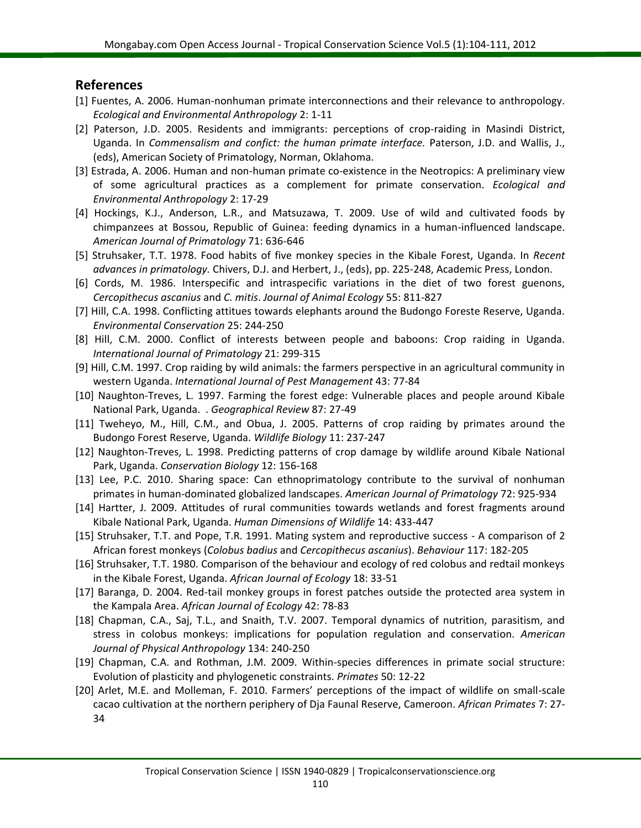#### **References**

- <span id="page-6-0"></span>[1] Fuentes, A. 2006. Human-nonhuman primate interconnections and their relevance to anthropology. *Ecological and Environmental Anthropology* 2: 1-11
- <span id="page-6-1"></span>[2] Paterson, J.D. 2005. Residents and immigrants: perceptions of crop-raiding in Masindi District, Uganda. In *Commensalism and confict: the human primate interface.* Paterson, J.D. and Wallis, J., (eds), American Society of Primatology, Norman, Oklahoma.
- <span id="page-6-2"></span>[3] Estrada, A. 2006. Human and non-human primate co-existence in the Neotropics: A preliminary view of some agricultural practices as a complement for primate conservation. *Ecological and Environmental Anthropology* 2: 17-29
- <span id="page-6-3"></span>[4] Hockings, K.J., Anderson, L.R., and Matsuzawa, T. 2009. Use of wild and cultivated foods by chimpanzees at Bossou, Republic of Guinea: feeding dynamics in a human-influenced landscape. *American Journal of Primatology* 71: 636-646
- <span id="page-6-4"></span>[5] Struhsaker, T.T. 1978. Food habits of five monkey species in the Kibale Forest, Uganda. In *Recent advances in primatology.* Chivers, D.J. and Herbert, J., (eds), pp. 225-248, Academic Press, London.
- [6] Cords, M. 1986. Interspecific and intraspecific variations in the diet of two forest guenons, *Cercopithecus ascanius* and *C. mitis*. *Journal of Animal Ecology* 55: 811-827
- [7] Hill, C.A. 1998. Conflicting attitues towards elephants around the Budongo Foreste Reserve, Uganda. *Environmental Conservation* 25: 244-250
- <span id="page-6-15"></span>[8] Hill, C.M. 2000. Conflict of interests between people and baboons: Crop raiding in Uganda. *International Journal of Primatology* 21: 299-315
- <span id="page-6-5"></span>[9] Hill, C.M. 1997. Crop raiding by wild animals: the farmers perspective in an agricultural community in western Uganda. *International Journal of Pest Management* 43: 77-84
- <span id="page-6-8"></span>[10] Naughton-Treves, L. 1997. Farming the forest edge: Vulnerable places and people around Kibale National Park, Uganda. . *Geographical Review* 87: 27-49
- <span id="page-6-10"></span>[11] Tweheyo, M., Hill, C.M., and Obua, J. 2005. Patterns of crop raiding by primates around the Budongo Forest Reserve, Uganda. *Wildlife Biology* 11: 237-247
- <span id="page-6-6"></span>[12] Naughton-Treves, L. 1998. Predicting patterns of crop damage by wildlife around Kibale National Park, Uganda. *Conservation Biology* 12: 156-168
- <span id="page-6-7"></span>[13] Lee, P.C. 2010. Sharing space: Can ethnoprimatology contribute to the survival of nonhuman primates in human-dominated globalized landscapes. *American Journal of Primatology* 72: 925-934
- <span id="page-6-9"></span>[14] Hartter, J. 2009. Attitudes of rural communities towards wetlands and forest fragments around Kibale National Park, Uganda. *Human Dimensions of Wildlife* 14: 433-447
- <span id="page-6-11"></span>[15] Struhsaker, T.T. and Pope, T.R. 1991. Mating system and reproductive success - A comparison of 2 African forest monkeys (*Colobus badius* and *Cercopithecus ascanius*). *Behaviour* 117: 182-205
- <span id="page-6-12"></span>[16] Struhsaker, T.T. 1980. Comparison of the behaviour and ecology of red colobus and redtail monkeys in the Kibale Forest, Uganda. *African Journal of Ecology* 18: 33-51
- <span id="page-6-13"></span>[17] Baranga, D. 2004. Red-tail monkey groups in forest patches outside the protected area system in the Kampala Area. *African Journal of Ecology* 42: 78-83
- [18] Chapman, C.A., Saj, T.L., and Snaith, T.V. 2007. Temporal dynamics of nutrition, parasitism, and stress in colobus monkeys: implications for population regulation and conservation. *American Journal of Physical Anthropology* 134: 240-250
- [19] Chapman, C.A. and Rothman, J.M. 2009. Within-species differences in primate social structure: Evolution of plasticity and phylogenetic constraints. *Primates* 50: 12-22
- <span id="page-6-14"></span>[20] Arlet, M.E. and Molleman, F. 2010. Farmers' perceptions of the impact of wildlife on small-scale cacao cultivation at the northern periphery of Dja Faunal Reserve, Cameroon. *African Primates* 7: 27- 34